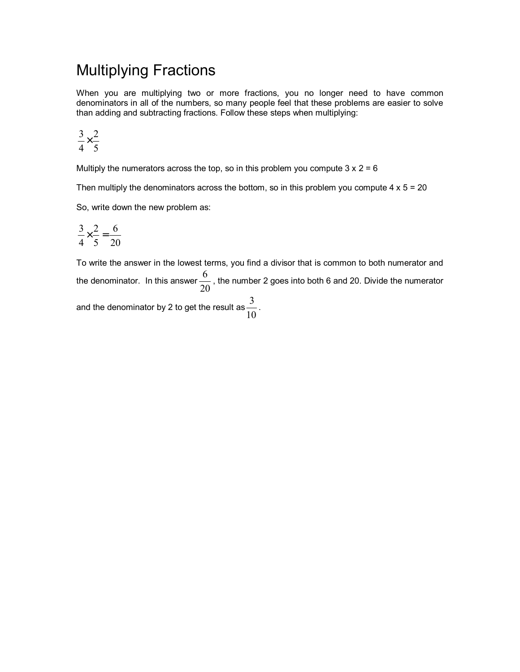## Multiplying Fractions

When you are multiplying two or more fractions, you no longer need to have common denominators in all of the numbers, so many people feel that these problems are easier to solve than adding and subtracting fractions. Follow these steps when multiplying:

$$
\frac{3}{4} \times \frac{2}{5}
$$

Multiply the numerators across the top, so in this problem you compute  $3 \times 2 = 6$ 

Then multiply the denominators across the bottom, so in this problem you compute  $4 \times 5 = 20$ 

So, write down the new problem as:

$$
\frac{3}{4} \times \frac{2}{5} = \frac{6}{20}
$$

To write the answer in the lowest terms, you find a divisor that is common to both numerator and the denominator. In this answer  $\frac{3}{20}$  $\frac{6}{10}$ , the number 2 goes into both 6 and 20. Divide the numerator and the denominator by 2 to get the result as  $\frac{5}{10}$  $\frac{3}{2}$ .